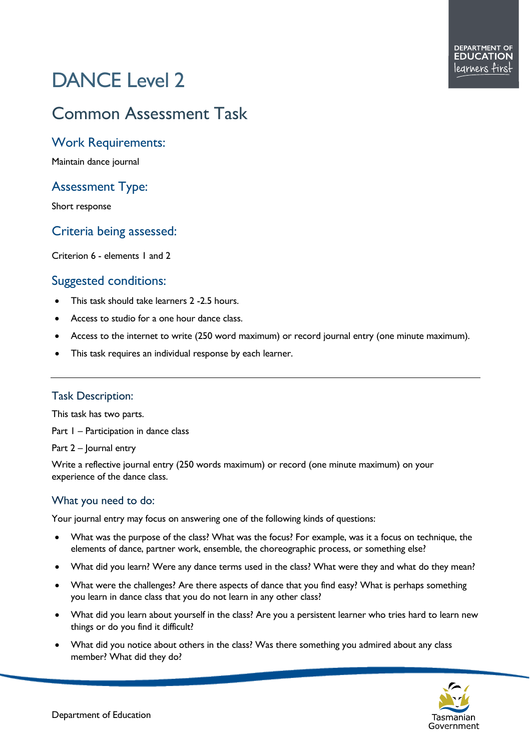# DANCE Level 2

# Common Assessment Task

#### Work Requirements:

Maintain dance journal

## Assessment Type:

Short response

## Criteria being assessed:

Criterion 6 - elements 1 and 2

## Suggested conditions:

- This task should take learners 2 -2.5 hours.
- Access to studio for a one hour dance class.
- Access to the internet to write (250 word maximum) or record journal entry (one minute maximum).
- This task requires an individual response by each learner.

#### Task Description:

This task has two parts.

Part I – Participation in dance class

Part 2 – Journal entry

Write a reflective journal entry (250 words maximum) or record (one minute maximum) on your experience of the dance class.

#### What you need to do:

Your journal entry may focus on answering one of the following kinds of questions:

- What was the purpose of the class? What was the focus? For example, was it a focus on technique, the elements of dance, partner work, ensemble, the choreographic process, or something else?
- What did you learn? Were any dance terms used in the class? What were they and what do they mean?
- What were the challenges? Are there aspects of dance that you find easy? What is perhaps something you learn in dance class that you do not learn in any other class?
- What did you learn about yourself in the class? Are you a persistent learner who tries hard to learn new things or do you find it difficult?
- What did you notice about others in the class? Was there something you admired about any class member? What did they do?